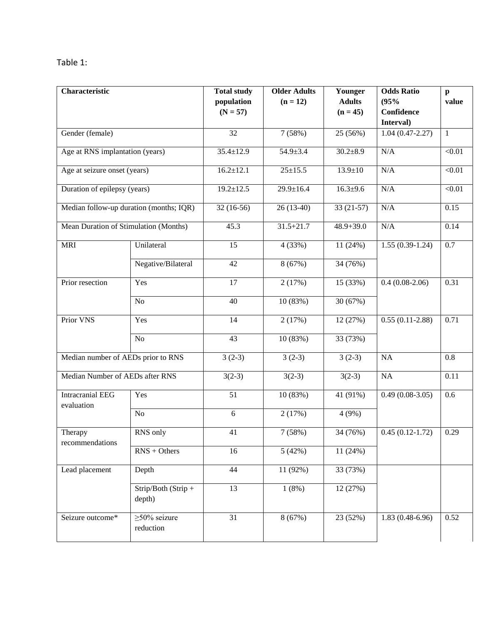| Table |  |
|-------|--|
|-------|--|

| Characteristic                          |                                        | <b>Total study</b> | <b>Older Adults</b> | Younger        | <b>Odds Ratio</b>       | $\mathbf{p}$      |
|-----------------------------------------|----------------------------------------|--------------------|---------------------|----------------|-------------------------|-------------------|
|                                         |                                        | population         | $(n = 12)$          | <b>Adults</b>  | (95%                    | value             |
|                                         |                                        | $(N = 57)$         |                     | $(n = 45)$     | Confidence<br>Interval) |                   |
| Gender (female)                         |                                        | 32                 | 7(58%)              | 25 (56%)       | $1.04(0.47 - 2.27)$     | $\mathbf{1}$      |
| Age at RNS implantation (years)         |                                        | $35.4 \pm 12.9$    | $54.9 \pm 3.4$      | $30.2 \pm 8.9$ | $\rm N/A$               | < 0.01            |
| Age at seizure onset (years)            |                                        | $16.2 \pm 12.1$    | $25 \pm 15.5$       | $13.9 \pm 10$  | $\rm N/A$               | $<0.01$           |
| Duration of epilepsy (years)            |                                        | $19.2 \pm 12.5$    | $29.9 \pm 16.4$     | $16.3 + 9.6$   | $\rm N/A$               | < 0.01            |
| Median follow-up duration (months; IQR) |                                        | $32(16-56)$        | $26(13-40)$         | $33(21-57)$    | $\rm N/A$               | 0.15              |
| Mean Duration of Stimulation (Months)   |                                        | 45.3               | $31.5 + 21.7$       | $48.9 + 39.0$  | N/A                     | 0.14              |
| <b>MRI</b>                              | Unilateral                             | 15                 | 4 (33%)             | 11 (24%)       | $1.55(0.39-1.24)$       | 0.7               |
|                                         | Negative/Bilateral                     | 42                 | 8(67%)              | 34 (76%)       |                         |                   |
| Prior resection                         | Yes                                    | 17                 | 2(17%)              | 15 (33%)       | $0.4(0.08-2.06)$        | 0.31              |
|                                         | No                                     | 40                 | 10 (83%)            | 30 (67%)       |                         |                   |
| Prior VNS                               | Yes                                    | 14                 | 2(17%)              | 12 (27%)       | $0.55(0.11-2.88)$       | 0.71              |
|                                         | $\rm No$                               | 43                 | 10 (83%)            | 33 (73%)       |                         |                   |
| Median number of AEDs prior to RNS      |                                        | $3(2-3)$           | $3(2-3)$            | $3(2-3)$       | NA                      | 0.8               |
| Median Number of AEDs after RNS         |                                        | $3(2-3)$           | $3(2-3)$            | $3(2-3)$       | $\rm NA$                | $\overline{0.11}$ |
| <b>Intracranial EEG</b><br>evaluation   | Yes                                    | 51                 | 10 (83%)            | 41 (91%)       | $0.49(0.08-3.05)$       | 0.6               |
|                                         | No                                     | 6                  | 2(17%)              | 4(9%)          |                         |                   |
| Therapy<br>recommendations              | RNS only                               | 41                 | 7(58%)              | 34 (76%)       | $0.45(0.12-1.72)$       | 0.29              |
|                                         | $RNS + Others$                         | 16                 | 5(42%)              | 11 (24%)       |                         |                   |
| Lead placement                          | Depth                                  | 44                 | 11 (92%)            | 33 (73%)       |                         |                   |
|                                         | $Strip/Both (Strip +$<br>depth)        | 13                 | 1(8%)               | 12 (27%)       |                         |                   |
| Seizure outcome*                        | $\sqrt{\geq}50\%$ seizure<br>reduction | $\overline{31}$    | 8(67%)              | 23 (52%)       | $1.83(0.48-6.96)$       | 0.52              |